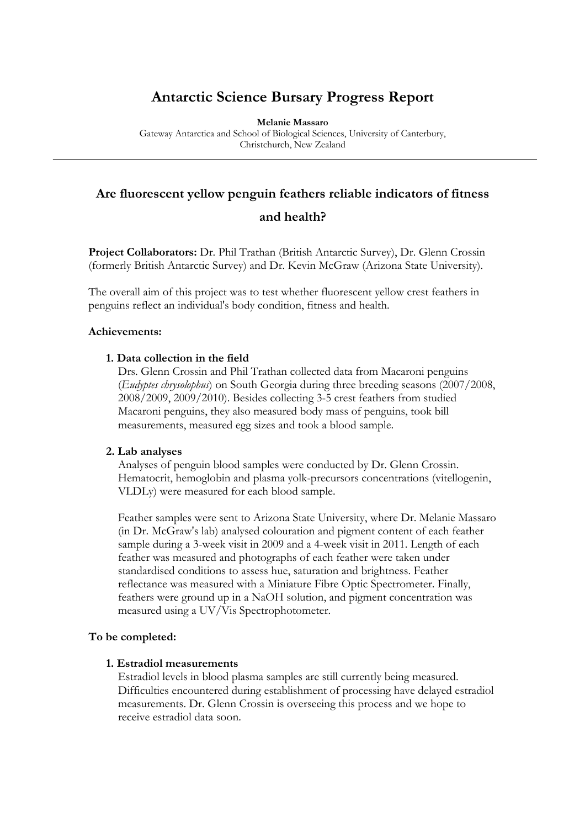# **Antarctic Science Bursary Progress Report**

**Melanie Massaro** 

Gateway Antarctica and School of Biological Sciences, University of Canterbury, Christchurch, New Zealand

# **Are fluorescent yellow penguin feathers reliable indicators of fitness**

# **and health?**

**Project Collaborators:** Dr. Phil Trathan (British Antarctic Survey), Dr. Glenn Crossin (formerly British Antarctic Survey) and Dr. Kevin McGraw (Arizona State University).

The overall aim of this project was to test whether fluorescent yellow crest feathers in penguins reflect an individual's body condition, fitness and health.

#### **Achievements:**

# **1. Data collection in the field**

Drs. Glenn Crossin and Phil Trathan collected data from Macaroni penguins (*Eudyptes chrysolophus*) on South Georgia during three breeding seasons (2007/2008, 2008/2009, 2009/2010). Besides collecting 3-5 crest feathers from studied Macaroni penguins, they also measured body mass of penguins, took bill measurements, measured egg sizes and took a blood sample.

#### **2. Lab analyses**

Analyses of penguin blood samples were conducted by Dr. Glenn Crossin. Hematocrit, hemoglobin and plasma yolk-precursors concentrations (vitellogenin, VLDLy) were measured for each blood sample.

Feather samples were sent to Arizona State University, where Dr. Melanie Massaro (in Dr. McGraw's lab) analysed colouration and pigment content of each feather sample during a 3-week visit in 2009 and a 4-week visit in 2011. Length of each feather was measured and photographs of each feather were taken under standardised conditions to assess hue, saturation and brightness. Feather reflectance was measured with a Miniature Fibre Optic Spectrometer. Finally, feathers were ground up in a NaOH solution, and pigment concentration was measured using a UV/Vis Spectrophotometer.

#### **To be completed:**

#### **1. Estradiol measurements**

Estradiol levels in blood plasma samples are still currently being measured. Difficulties encountered during establishment of processing have delayed estradiol measurements. Dr. Glenn Crossin is overseeing this process and we hope to receive estradiol data soon.